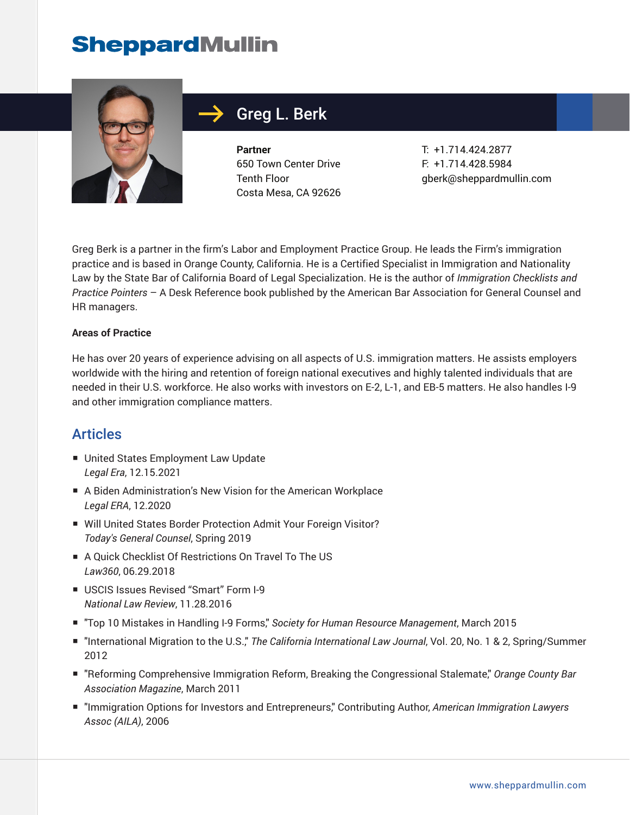

# Greg L. Berk

**Partner** 650 Town Center Drive Tenth Floor Costa Mesa, CA 92626 T: +1.714.424.2877 F: +1.714.428.5984 gberk@sheppardmullin.com

Greg Berk is a partner in the firm's Labor and Employment Practice Group. He leads the Firm's immigration practice and is based in Orange County, California. He is a Certified Specialist in Immigration and Nationality Law by the State Bar of California Board of Legal Specialization. He is the author of *Immigration Checklists and Practice Pointers* – A Desk Reference book published by the American Bar Association for General Counsel and HR managers.

#### **Areas of Practice**

He has over 20 years of experience advising on all aspects of U.S. immigration matters. He assists employers worldwide with the hiring and retention of foreign national executives and highly talented individuals that are needed in their U.S. workforce. He also works with investors on E-2, L-1, and EB-5 matters. He also handles I-9 and other immigration compliance matters.

### Articles

- United States Employment Law Update *Legal Era*, 12.15.2021
- A Biden Administration's New Vision for the American Workplace *Legal ERA*, 12.2020
- Will United States Border Protection Admit Your Foreign Visitor? *Today's General Counsel*, Spring 2019
- A Quick Checklist Of Restrictions On Travel To The US *Law360*, 06.29.2018
- USCIS Issues Revised "Smart" Form I-9 *National Law Review*, 11.28.2016
- "Top 10 Mistakes in Handling I-9 Forms," *Society for Human Resource Management*, March 2015
- "International Migration to the U.S." The California International Law Journal, Vol. 20, No. 1 & 2, Spring/Summer 2012
- "Reforming Comprehensive Immigration Reform, Breaking the Congressional Stalemate," *Orange County Bar Association Magazine*, March 2011
- "Immigration Options for Investors and Entrepreneurs," Contributing Author, *American Immigration Lawyers Assoc (AILA)*, 2006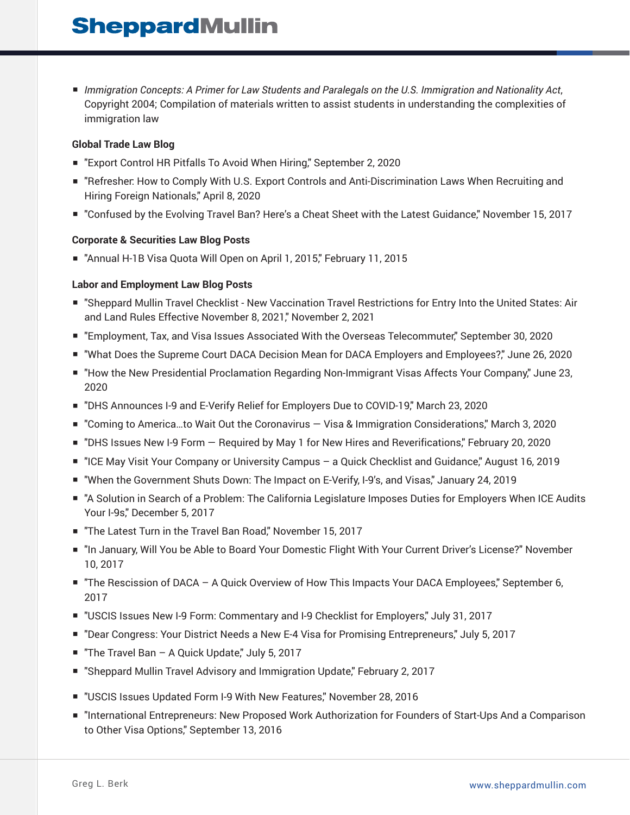■ *Immigration Concepts: A Primer for Law Students and Paralegals on the U.S. Immigration and Nationality Act*, Copyright 2004; Compilation of materials written to assist students in understanding the complexities of immigration law

#### **Global Trade Law Blog**

- "Export Control HR Pitfalls To Avoid When Hiring," September 2, 2020
- "Refresher: How to Comply With U.S. Export Controls and Anti-Discrimination Laws When Recruiting and Hiring Foreign Nationals," April 8, 2020
- "Confused by the Evolving Travel Ban? Here's a Cheat Sheet with the Latest Guidance," November 15, 2017

#### **Corporate & Securities Law Blog Posts**

■ "Annual H-1B Visa Quota Will Open on April 1, 2015," February 11, 2015

### **Labor and Employment Law Blog Posts**

- "Sheppard Mullin Travel Checklist New Vaccination Travel Restrictions for Entry Into the United States: Air and Land Rules Effective November 8, 2021," November 2, 2021
- "Employment, Tax, and Visa Issues Associated With the Overseas Telecommuter," September 30, 2020
- "What Does the Supreme Court DACA Decision Mean for DACA Employers and Employees?," June 26, 2020
- "How the New Presidential Proclamation Regarding Non-Immigrant Visas Affects Your Company," June 23, 2020
- "DHS Announces I-9 and E-Verify Relief for Employers Due to COVID-19," March 23, 2020
- "Coming to America...to Wait Out the Coronavirus Visa & Immigration Considerations," March 3, 2020
- "DHS Issues New I-9 Form Required by May 1 for New Hires and Reverifications," February 20, 2020
- "ICE May Visit Your Company or University Campus a Quick Checklist and Guidance," August 16, 2019
- "When the Government Shuts Down: The Impact on E-Verify, I-9's, and Visas," January 24, 2019
- "A Solution in Search of a Problem: The California Legislature Imposes Duties for Employers When ICE Audits Your I-9s," December 5, 2017
- "The Latest Turn in the Travel Ban Road," November 15, 2017
- "In January, Will You be Able to Board Your Domestic Flight With Your Current Driver's License?" November 10, 2017
- "The Rescission of DACA A Quick Overview of How This Impacts Your DACA Employees," September 6, 2017
- "USCIS Issues New I-9 Form: Commentary and I-9 Checklist for Employers," July 31, 2017
- "Dear Congress: Your District Needs a New E-4 Visa for Promising Entrepreneurs," July 5, 2017
- "The Travel Ban A Quick Update," July 5, 2017
- "Sheppard Mullin Travel Advisory and Immigration Update," February 2, 2017
- "USCIS Issues Updated Form I-9 With New Features," November 28, 2016
- "International Entrepreneurs: New Proposed Work Authorization for Founders of Start-Ups And a Comparison to Other Visa Options," September 13, 2016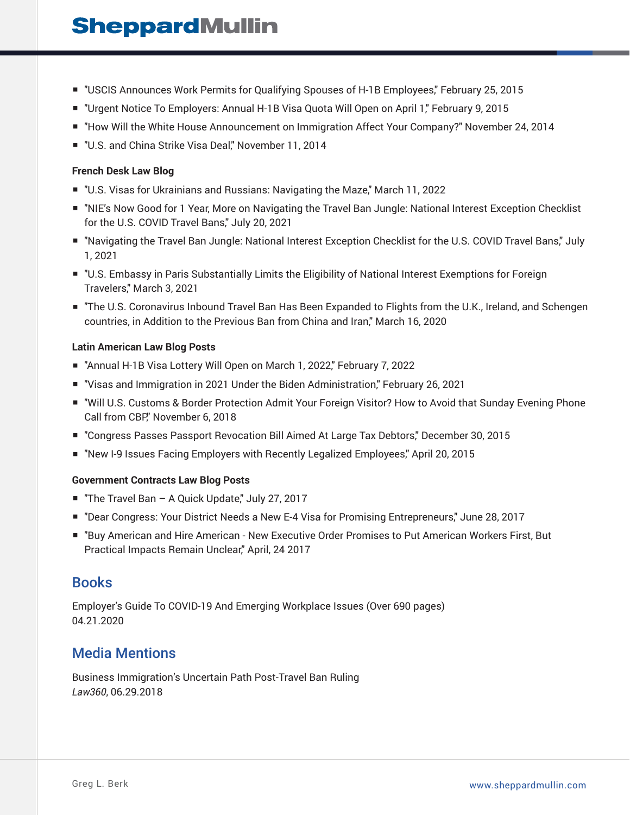- "USCIS Announces Work Permits for Qualifying Spouses of H-1B Employees," February 25, 2015
- "Urgent Notice To Employers: Annual H-1B Visa Quota Will Open on April 1," February 9, 2015
- "How Will the White House Announcement on Immigration Affect Your Company?" November 24, 2014
- "U.S. and China Strike Visa Deal," November 11, 2014

#### **French Desk Law Blog**

- "U.S. Visas for Ukrainians and Russians: Navigating the Maze," March 11, 2022
- "NIE's Now Good for 1 Year, More on Navigating the Travel Ban Jungle: National Interest Exception Checklist for the U.S. COVID Travel Bans," July 20, 2021
- "Navigating the Travel Ban Jungle: National Interest Exception Checklist for the U.S. COVID Travel Bans," July 1, 2021
- "U.S. Embassy in Paris Substantially Limits the Eligibility of National Interest Exemptions for Foreign Travelers," March 3, 2021
- "The U.S. Coronavirus Inbound Travel Ban Has Been Expanded to Flights from the U.K., Ireland, and Schengen countries, in Addition to the Previous Ban from China and Iran," March 16, 2020

### **Latin American Law Blog Posts**

- "Annual H-1B Visa Lottery Will Open on March 1, 2022," February 7, 2022
- "Visas and Immigration in 2021 Under the Biden Administration," February 26, 2021
- "Will U.S. Customs & Border Protection Admit Your Foreign Visitor? How to Avoid that Sunday Evening Phone Call from CBP," November 6, 2018
- "Congress Passes Passport Revocation Bill Aimed At Large Tax Debtors," December 30, 2015
- "New I-9 Issues Facing Employers with Recently Legalized Employees," April 20, 2015

#### **Government Contracts Law Blog Posts**

- "The Travel Ban A Quick Update," July 27, 2017
- "Dear Congress: Your District Needs a New E-4 Visa for Promising Entrepreneurs," June 28, 2017
- "Buy American and Hire American New Executive Order Promises to Put American Workers First, But Practical Impacts Remain Unclear," April, 24 2017

### **Books**

Employer's Guide To COVID-19 And Emerging Workplace Issues (Over 690 pages) 04.21.2020

# Media Mentions

Business Immigration's Uncertain Path Post-Travel Ban Ruling *Law360*, 06.29.2018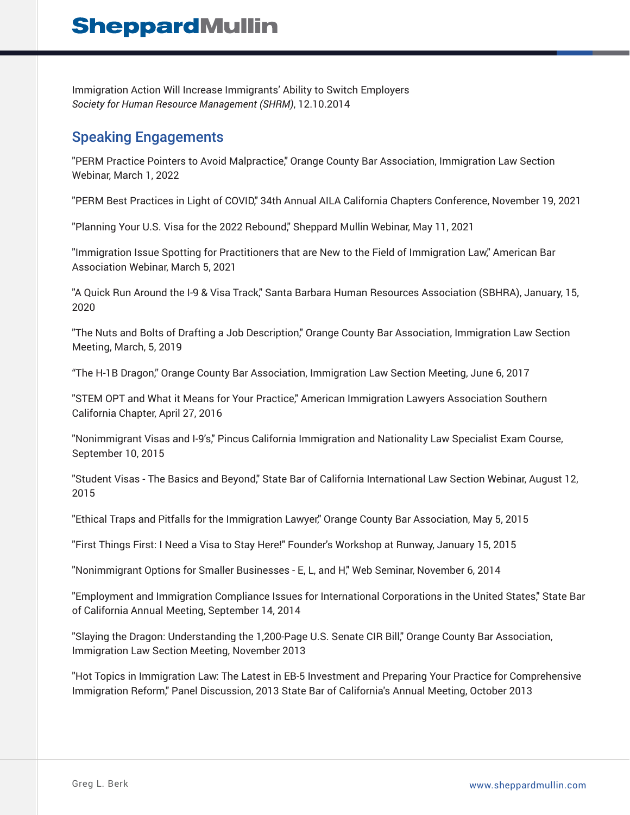Immigration Action Will Increase Immigrants' Ability to Switch Employers *Society for Human Resource Management (SHRM)*, 12.10.2014

## Speaking Engagements

"PERM Practice Pointers to Avoid Malpractice," Orange County Bar Association, Immigration Law Section Webinar, March 1, 2022

"PERM Best Practices in Light of COVID," 34th Annual AILA California Chapters Conference, November 19, 2021

"Planning Your U.S. Visa for the 2022 Rebound," Sheppard Mullin Webinar, May 11, 2021

"Immigration Issue Spotting for Practitioners that are New to the Field of Immigration Law," American Bar Association Webinar, March 5, 2021

"A Quick Run Around the I-9 & Visa Track," Santa Barbara Human Resources Association (SBHRA), January, 15, 2020

"The Nuts and Bolts of Drafting a Job Description," Orange County Bar Association, Immigration Law Section Meeting, March, 5, 2019

"The H-1B Dragon," Orange County Bar Association, Immigration Law Section Meeting, June 6, 2017

"STEM OPT and What it Means for Your Practice," American Immigration Lawyers Association Southern California Chapter, April 27, 2016

"Nonimmigrant Visas and I-9's," Pincus California Immigration and Nationality Law Specialist Exam Course, September 10, 2015

"Student Visas - The Basics and Beyond," State Bar of California International Law Section Webinar, August 12, 2015

"Ethical Traps and Pitfalls for the Immigration Lawyer," Orange County Bar Association, May 5, 2015

"First Things First: I Need a Visa to Stay Here!" Founder's Workshop at Runway, January 15, 2015

"Nonimmigrant Options for Smaller Businesses - E, L, and H," Web Seminar, November 6, 2014

"Employment and Immigration Compliance Issues for International Corporations in the United States," State Bar of California Annual Meeting, September 14, 2014

"Slaying the Dragon: Understanding the 1,200-Page U.S. Senate CIR Bill," Orange County Bar Association, Immigration Law Section Meeting, November 2013

"Hot Topics in Immigration Law: The Latest in EB-5 Investment and Preparing Your Practice for Comprehensive Immigration Reform," Panel Discussion, 2013 State Bar of California's Annual Meeting, October 2013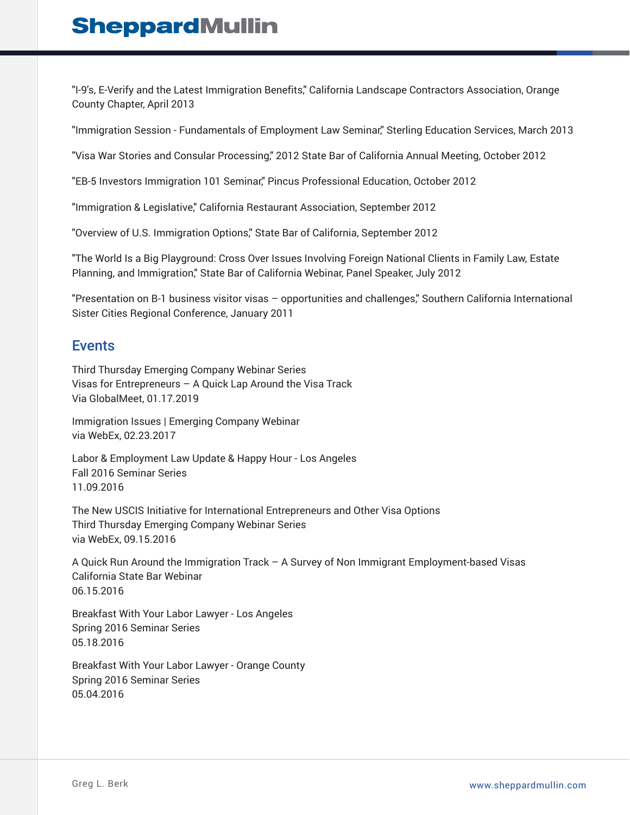"I-9's, E-Verify and the Latest Immigration Benefits," California Landscape Contractors Association, Orange County Chapter, April 2013

"Immigration Session - Fundamentals of Employment Law Seminar," Sterling Education Services, March 2013

"Visa War Stories and Consular Processing," 2012 State Bar of California Annual Meeting, October 2012

"EB-5 Investors Immigration 101 Seminar," Pincus Professional Education, October 2012

"Immigration & Legislative," California Restaurant Association, September 2012

"Overview of U.S. Immigration Options," State Bar of California, September 2012

"The World Is a Big Playground: Cross Over Issues Involving Foreign National Clients in Family Law, Estate Planning, and Immigration," State Bar of California Webinar, Panel Speaker, July 2012

"Presentation on B-1 business visitor visas – opportunities and challenges," Southern California International Sister Cities Regional Conference, January 2011

### Events

Third Thursday Emerging Company Webinar Series Visas for Entrepreneurs – A Quick Lap Around the Visa Track Via GlobalMeet, 01.17.2019

Immigration Issues | Emerging Company Webinar via WebEx, 02.23.2017

Labor & Employment Law Update & Happy Hour - Los Angeles Fall 2016 Seminar Series 11.09.2016

The New USCIS Initiative for International Entrepreneurs and Other Visa Options Third Thursday Emerging Company Webinar Series via WebEx, 09.15.2016

A Quick Run Around the Immigration Track – A Survey of Non Immigrant Employment-based Visas California State Bar Webinar 06.15.2016

Breakfast With Your Labor Lawyer - Los Angeles Spring 2016 Seminar Series 05.18.2016

Breakfast With Your Labor Lawyer - Orange County Spring 2016 Seminar Series 05.04.2016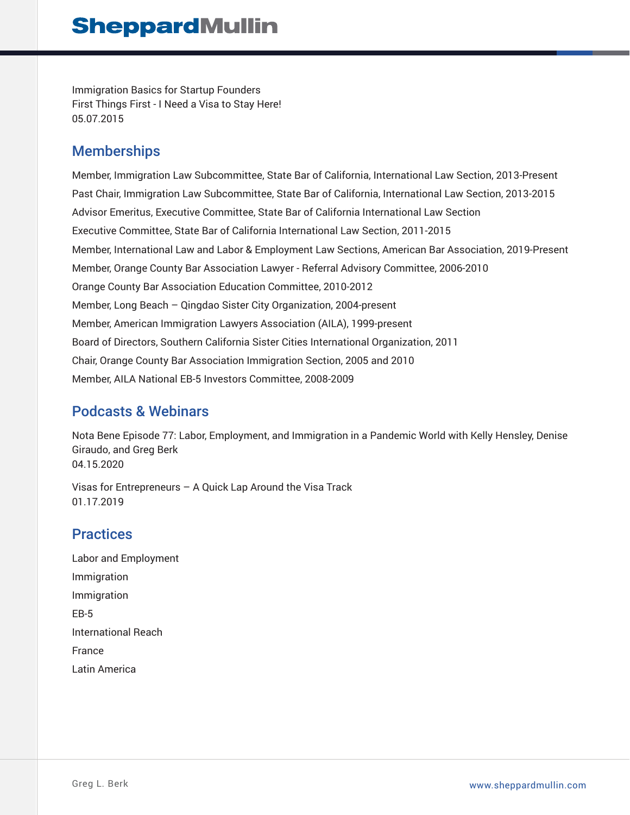Immigration Basics for Startup Founders First Things First - I Need a Visa to Stay Here! 05.07.2015

## **Memberships**

Member, Immigration Law Subcommittee, State Bar of California, International Law Section, 2013-Present Past Chair, Immigration Law Subcommittee, State Bar of California, International Law Section, 2013-2015 Advisor Emeritus, Executive Committee, State Bar of California International Law Section Executive Committee, State Bar of California International Law Section, 2011-2015 Member, International Law and Labor & Employment Law Sections, American Bar Association, 2019-Present Member, Orange County Bar Association Lawyer - Referral Advisory Committee, 2006-2010 Orange County Bar Association Education Committee, 2010-2012 Member, Long Beach – Qingdao Sister City Organization, 2004-present Member, American Immigration Lawyers Association (AILA), 1999-present Board of Directors, Southern California Sister Cities International Organization, 2011 Chair, Orange County Bar Association Immigration Section, 2005 and 2010 Member, AILA National EB-5 Investors Committee, 2008-2009

# Podcasts & Webinars

Nota Bene Episode 77: Labor, Employment, and Immigration in a Pandemic World with Kelly Hensley, Denise Giraudo, and Greg Berk 04.15.2020

Visas for Entrepreneurs – A Quick Lap Around the Visa Track 01.17.2019

# **Practices**

Labor and Employment Immigration Immigration EB-5 International Reach France Latin America